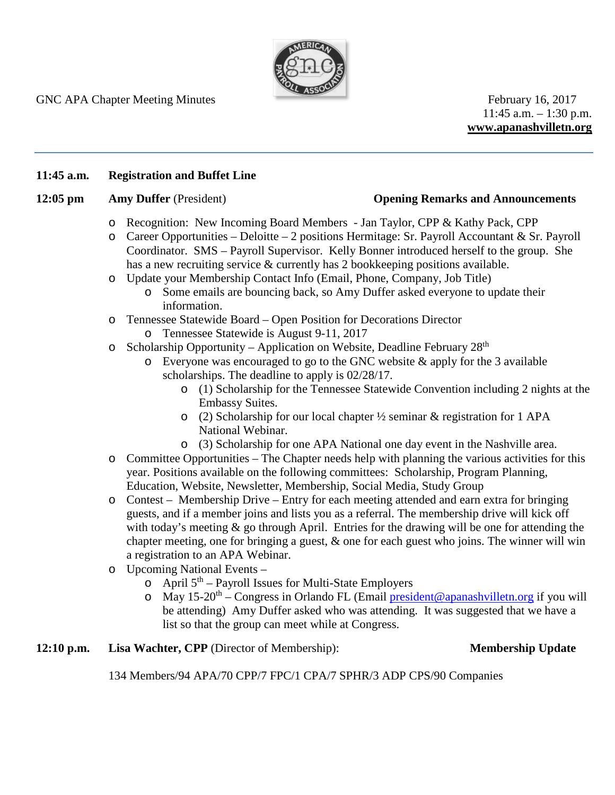

 $11:45$  a.m.  $-1:30$  p.m. **www.apanashvilletn.org**

## **11:45 a.m. Registration and Buffet Line**

### **12:05 pm Amy Duffer** (President) **Opening Remarks and Announcements**

- o Recognition: New Incoming Board Members Jan Taylor, CPP & Kathy Pack, CPP
- $\circ$  Career Opportunities Deloitte 2 positions Hermitage: Sr. Payroll Accountant & Sr. Payroll Coordinator. SMS – Payroll Supervisor. Kelly Bonner introduced herself to the group. She has a new recruiting service & currently has 2 bookkeeping positions available.
- o Update your Membership Contact Info (Email, Phone, Company, Job Title)
	- o Some emails are bouncing back, so Amy Duffer asked everyone to update their information.
- o Tennessee Statewide Board Open Position for Decorations Director
	- o Tennessee Statewide is August 9-11, 2017
- o Scholarship Opportunity Application on Website, Deadline February 28th
	- o Everyone was encouraged to go to the GNC website & apply for the 3 available scholarships. The deadline to apply is 02/28/17.
		- o (1) Scholarship for the Tennessee Statewide Convention including 2 nights at the Embassy Suites.
		- o (2) Scholarship for our local chapter ½ seminar & registration for 1 APA National Webinar.
		- o (3) Scholarship for one APA National one day event in the Nashville area.
- o Committee Opportunities The Chapter needs help with planning the various activities for this year. Positions available on the following committees: Scholarship, Program Planning, Education, Website, Newsletter, Membership, Social Media, Study Group
- o Contest Membership Drive Entry for each meeting attended and earn extra for bringing guests, and if a member joins and lists you as a referral. The membership drive will kick off with today's meeting  $\&$  go through April. Entries for the drawing will be one for attending the chapter meeting, one for bringing a guest,  $\&$  one for each guest who joins. The winner will win a registration to an APA Webinar.
- o Upcoming National Events
	- $\circ$  April 5<sup>th</sup> Payroll Issues for Multi-State Employers
	- o May 15-20<sup>th</sup> Congress in Orlando FL (Email [president@apanashvilletn.org](mailto:president@apanashvilletn.org) if you will be attending) Amy Duffer asked who was attending. It was suggested that we have a list so that the group can meet while at Congress.

## **12:10 p.m. Lisa Wachter, CPP** (Director of Membership): **Membership Update**

134 Members/94 APA/70 CPP/7 FPC/1 CPA/7 SPHR/3 ADP CPS/90 Companies